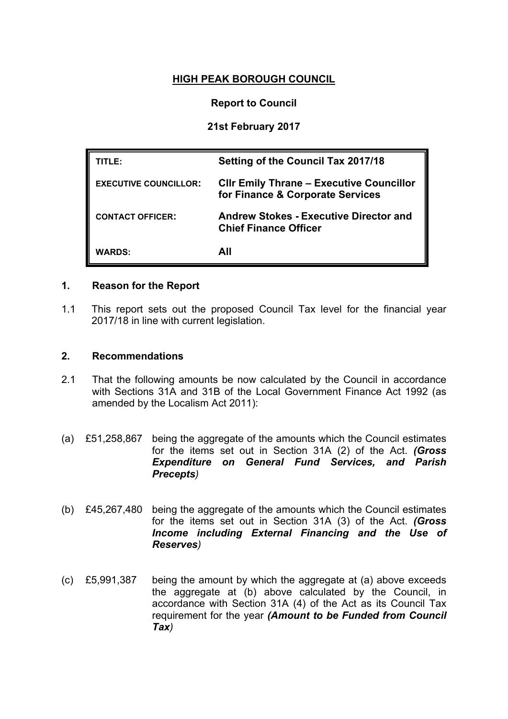# **HIGH PEAK BOROUGH COUNCIL**

## **Report to Council**

## **21st February 2017**

| TITLE:                       | <b>Setting of the Council Tax 2017/18</b>                                           |
|------------------------------|-------------------------------------------------------------------------------------|
| <b>EXECUTIVE COUNCILLOR:</b> | <b>CIIr Emily Thrane - Executive Councillor</b><br>for Finance & Corporate Services |
| <b>CONTACT OFFICER:</b>      | <b>Andrew Stokes - Executive Director and</b><br><b>Chief Finance Officer</b>       |
| <b>WARDS:</b>                | All                                                                                 |

#### **1. Reason for the Report**

1.1 This report sets out the proposed Council Tax level for the financial year 2017/18 in line with current legislation.

#### **2. Recommendations**

- 2.1 That the following amounts be now calculated by the Council in accordance with Sections 31A and 31B of the Local Government Finance Act 1992 (as amended by the Localism Act 2011):
- (a) £51,258,867 being the aggregate of the amounts which the Council estimates for the items set out in Section 31A (2) of the Act. *(Gross Expenditure on General Fund Services, and Parish Precepts)*
- (b) £45,267,480 being the aggregate of the amounts which the Council estimates for the items set out in Section 31A (3) of the Act. *(Gross Income including External Financing and the Use of Reserves)*
- (c) £5,991,387 being the amount by which the aggregate at (a) above exceeds the aggregate at (b) above calculated by the Council, in accordance with Section 31A (4) of the Act as its Council Tax requirement for the year *(Amount to be Funded from Council Tax)*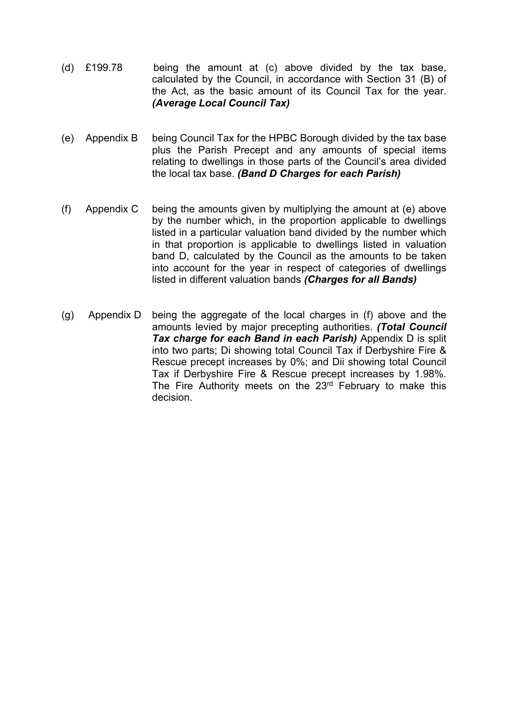- (d) £199.78 being the amount at (c) above divided by the tax base, calculated by the Council, in accordance with Section 31 (B) of the Act, as the basic amount of its Council Tax for the year. *(Average Local Council Tax)*
- (e) Appendix B being Council Tax for the HPBC Borough divided by the tax base plus the Parish Precept and any amounts of special items relating to dwellings in those parts of the Council's area divided the local tax base. *(Band D Charges for each Parish)*
- (f) Appendix C being the amounts given by multiplying the amount at (e) above by the number which, in the proportion applicable to dwellings listed in a particular valuation band divided by the number which in that proportion is applicable to dwellings listed in valuation band D, calculated by the Council as the amounts to be taken into account for the year in respect of categories of dwellings listed in different valuation bands *(Charges for all Bands)*
- (g) Appendix D being the aggregate of the local charges in (f) above and the amounts levied by major precepting authorities. *(Total Council Tax charge for each Band in each Parish)* Appendix D is split into two parts; Di showing total Council Tax if Derbyshire Fire & Rescue precept increases by 0%; and Dii showing total Council Tax if Derbyshire Fire & Rescue precept increases by 1.98%. The Fire Authority meets on the 23<sup>rd</sup> February to make this decision.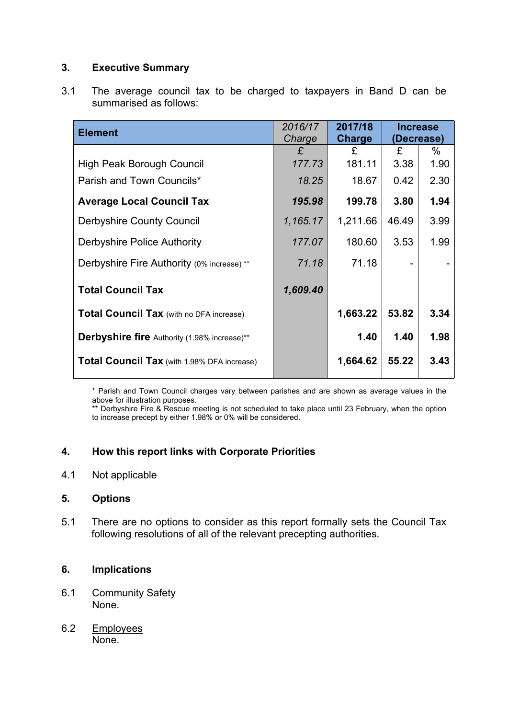## **3. Executive Summary**

3.1 The average council tax to be charged to taxpayers in Band D can be summarised as follows:

| 2016/17<br>2017/18<br>Charge<br>Charge |          | <b>Increase</b><br>(Decrease) |      |
|----------------------------------------|----------|-------------------------------|------|
| £                                      | £        | £                             | %    |
| 177.73                                 | 181.11   | 3.38                          | 1.90 |
| 18.25                                  | 18.67    | 0.42                          | 2.30 |
| 195.98                                 | 199.78   | 3.80                          | 1.94 |
| 1,165.17                               | 1,211.66 | 46.49                         | 3.99 |
| 177.07                                 | 180.60   | 3.53                          | 1.99 |
| 71.18                                  | 71.18    |                               |      |
| 1,609.40                               |          |                               |      |
|                                        | 1,663.22 | 53.82                         | 3.34 |
|                                        | 1.40     | 1.40                          | 1.98 |
|                                        | 1,664.62 | 55.22                         | 3.43 |
|                                        |          |                               |      |

\* Parish and Town Council charges vary between parishes and are shown as average values in the above for illustration purposes.

\*\* Derbyshire Fire & Rescue meeting is not scheduled to take place until 23 February, when the option to increase precept by either 1.98% or 0% will be considered.

## **4. How this report links with Corporate Priorities**

4.1 Not applicable

#### **5. Options**

5.1 There are no options to consider as this report formally sets the Council Tax following resolutions of all of the relevant precepting authorities.

## **6. Implications**

- 6.1 Community Safety None.
- 6.2 Employees None.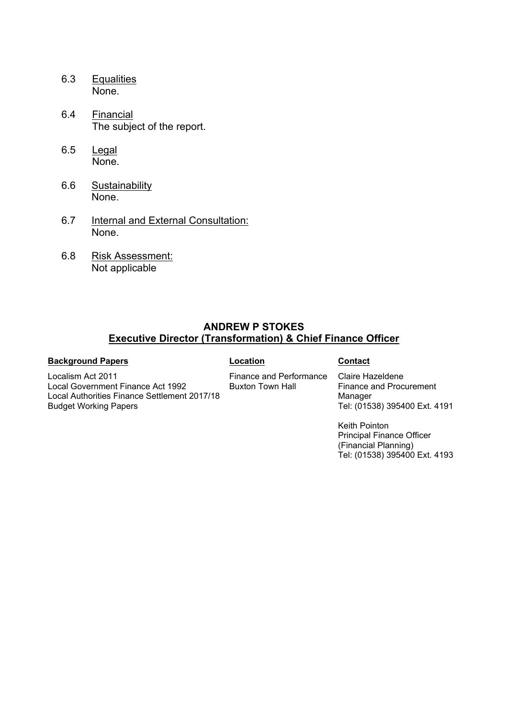- 6.3 Equalities None.
- 6.4 Financial The subject of the report.
- 6.5 Legal None.
- 6.6 Sustainability None.
- 6.7 Internal and External Consultation: None.
- 6.8 Risk Assessment: Not applicable

#### **ANDREW P STOKES Executive Director (Transformation) & Chief Finance Officer**

#### **Background Papers Contact**

Budget Working Papers

Localism Act 2011 Local Government Finance Act 1992 Local Authorities Finance Settlement 2017/18

Finance and Performance Buxton Town Hall

Claire Hazeldene Finance and Procurement Manager Tel: (01538) 395400 Ext. 4191

Keith Pointon Principal Finance Officer (Financial Planning) Tel: (01538) 395400 Ext. 4193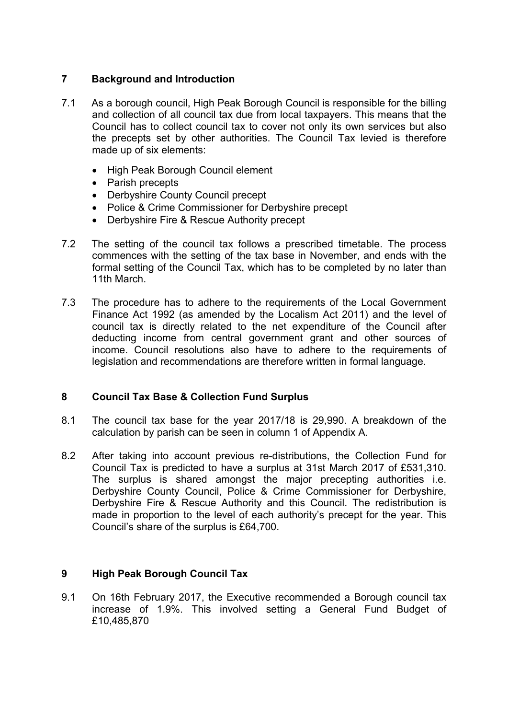## **7 Background and Introduction**

- 7.1 As a borough council, High Peak Borough Council is responsible for the billing and collection of all council tax due from local taxpayers. This means that the Council has to collect council tax to cover not only its own services but also the precepts set by other authorities. The Council Tax levied is therefore made up of six elements:
	- High Peak Borough Council element
	- Parish precepts
	- Derbyshire County Council precept
	- Police & Crime Commissioner for Derbyshire precept
	- Derbyshire Fire & Rescue Authority precept
- 7.2 The setting of the council tax follows a prescribed timetable. The process commences with the setting of the tax base in November, and ends with the formal setting of the Council Tax, which has to be completed by no later than 11th March.
- 7.3 The procedure has to adhere to the requirements of the Local Government Finance Act 1992 (as amended by the Localism Act 2011) and the level of council tax is directly related to the net expenditure of the Council after deducting income from central government grant and other sources of income. Council resolutions also have to adhere to the requirements of legislation and recommendations are therefore written in formal language.

#### **8 Council Tax Base & Collection Fund Surplus**

- 8.1 The council tax base for the year 2017/18 is 29,990. A breakdown of the calculation by parish can be seen in column 1 of Appendix A.
- 8.2 After taking into account previous re-distributions, the Collection Fund for Council Tax is predicted to have a surplus at 31st March 2017 of £531,310. The surplus is shared amongst the major precepting authorities i.e. Derbyshire County Council, Police & Crime Commissioner for Derbyshire, Derbyshire Fire & Rescue Authority and this Council. The redistribution is made in proportion to the level of each authority's precept for the year. This Council's share of the surplus is £64,700.

#### **9 High Peak Borough Council Tax**

9.1 On 16th February 2017, the Executive recommended a Borough council tax increase of 1.9%. This involved setting a General Fund Budget of £10,485,870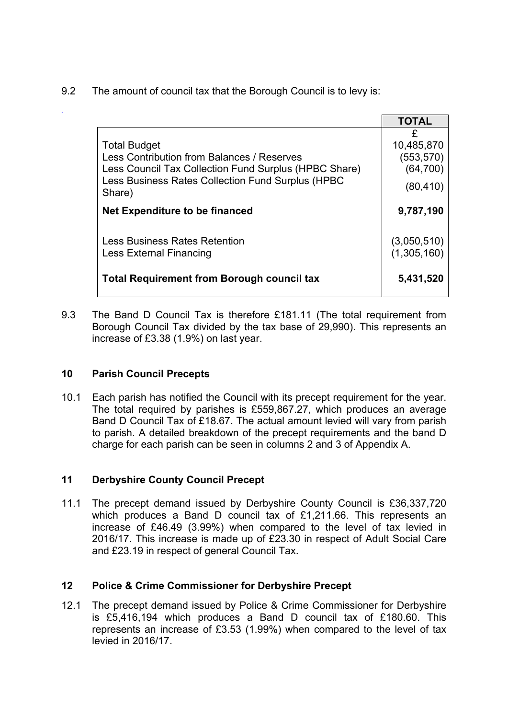9.2 The amount of council tax that the Borough Council is to levy is:

|                                                                                                                                                                                           | <b>TOTAL</b>                                            |
|-------------------------------------------------------------------------------------------------------------------------------------------------------------------------------------------|---------------------------------------------------------|
| <b>Total Budget</b><br>Less Contribution from Balances / Reserves<br>Less Council Tax Collection Fund Surplus (HPBC Share)<br>Less Business Rates Collection Fund Surplus (HPBC<br>Share) | £<br>10,485,870<br>(553, 570)<br>(64, 700)<br>(80, 410) |
| Net Expenditure to be financed                                                                                                                                                            | 9,787,190                                               |
| <b>Less Business Rates Retention</b><br>Less External Financing                                                                                                                           | (3,050,510)<br>(1,305,160)                              |
| <b>Total Requirement from Borough council tax</b>                                                                                                                                         | 5,431,520                                               |

9.3 The Band D Council Tax is therefore £181.11 (The total requirement from Borough Council Tax divided by the tax base of 29,990). This represents an increase of £3.38 (1.9%) on last year.

#### **10 Parish Council Precepts**

*.*

10.1 Each parish has notified the Council with its precept requirement for the year. The total required by parishes is £559,867.27, which produces an average Band D Council Tax of £18.67. The actual amount levied will vary from parish to parish. A detailed breakdown of the precept requirements and the band D charge for each parish can be seen in columns 2 and 3 of Appendix A.

## **11 Derbyshire County Council Precept**

11.1 The precept demand issued by Derbyshire County Council is £36,337,720 which produces a Band D council tax of £1,211.66. This represents an increase of £46.49 (3.99%) when compared to the level of tax levied in 2016/17. This increase is made up of £23.30 in respect of Adult Social Care and £23.19 in respect of general Council Tax.

## **12 Police & Crime Commissioner for Derbyshire Precept**

12.1 The precept demand issued by Police & Crime Commissioner for Derbyshire is £5,416,194 which produces a Band D council tax of £180.60. This represents an increase of £3.53 (1.99%) when compared to the level of tax levied in 2016/17.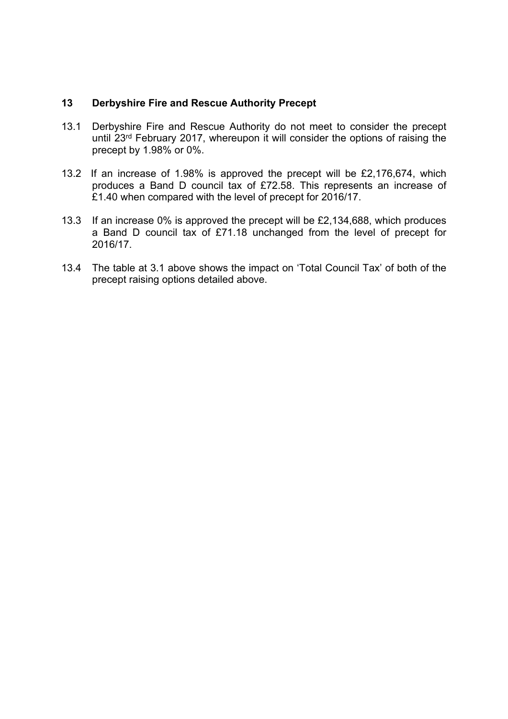#### **13 Derbyshire Fire and Rescue Authority Precept**

- 13.1 Derbyshire Fire and Rescue Authority do not meet to consider the precept until 23rd February 2017, whereupon it will consider the options of raising the precept by 1.98% or 0%.
- 13.2 If an increase of 1.98% is approved the precept will be £2,176,674, which produces a Band D council tax of £72.58. This represents an increase of £1.40 when compared with the level of precept for 2016/17.
- 13.3 If an increase 0% is approved the precept will be £2,134,688, which produces a Band D council tax of £71.18 unchanged from the level of precept for 2016/17.
- 13.4 The table at 3.1 above shows the impact on 'Total Council Tax' of both of the precept raising options detailed above.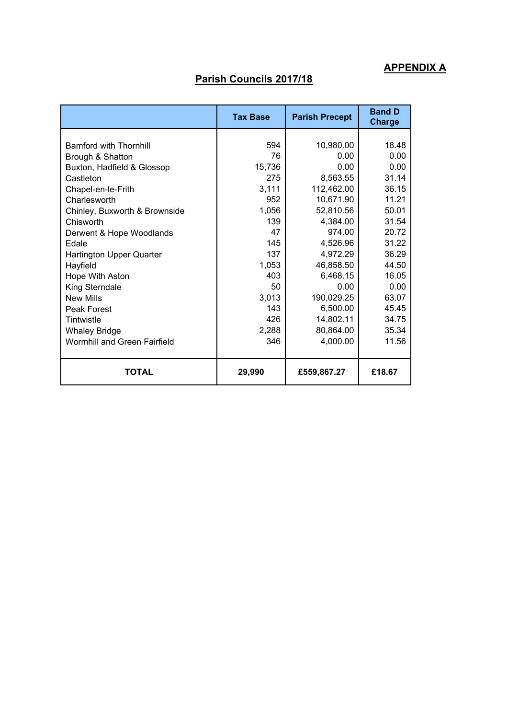# **APPENDIX A**

# **Parish Councils 2017/18**

|                                 | <b>Tax Base</b> | <b>Parish Precept</b> | <b>Band D</b><br><b>Charge</b> |
|---------------------------------|-----------------|-----------------------|--------------------------------|
|                                 |                 |                       |                                |
| <b>Bamford with Thornhill</b>   | 594             | 10,980.00             | 18.48                          |
| Brough & Shatton                | 76              | 0.00                  | 0.00                           |
| Buxton, Hadfield & Glossop      | 15,736          | 0.00                  | 0.00                           |
| Castleton                       | 275             | 8,563.55              | 31.14                          |
| Chapel-en-le-Frith              | 3,111           | 112,462.00            | 36.15                          |
| Charlesworth                    | 952             | 10,671.90             | 11.21                          |
| Chinley, Buxworth & Brownside   | 1,056           | 52,810.56             | 50.01                          |
| Chisworth                       | 139             | 4,384.00              | 31.54                          |
| Derwent & Hope Woodlands        | 47              | 974.00                | 20.72                          |
| <b>Edale</b>                    | 145             | 4,526.96              | 31.22                          |
| <b>Hartington Upper Quarter</b> | 137             | 4,972.29              | 36.29                          |
| Hayfield                        | 1,053           | 46,858.50             | 44.50                          |
| Hope With Aston                 | 403             | 6,468.15              | 16.05                          |
| King Sterndale                  | 50              | 0.00                  | 0.00                           |
| <b>New Mills</b>                | 3,013           | 190,029.25            | 63.07                          |
| Peak Forest                     | 143             | 6,500.00              | 45.45                          |
| Tintwistle                      | 426             | 14,802.11             | 34.75                          |
| <b>Whaley Bridge</b>            | 2,288           | 80,864.00             | 35.34                          |
| Wormhill and Green Fairfield    | 346             | 4,000.00              | 11.56                          |
| <b>TOTAL</b>                    | 29,990          | £559,867.27           | £18.67                         |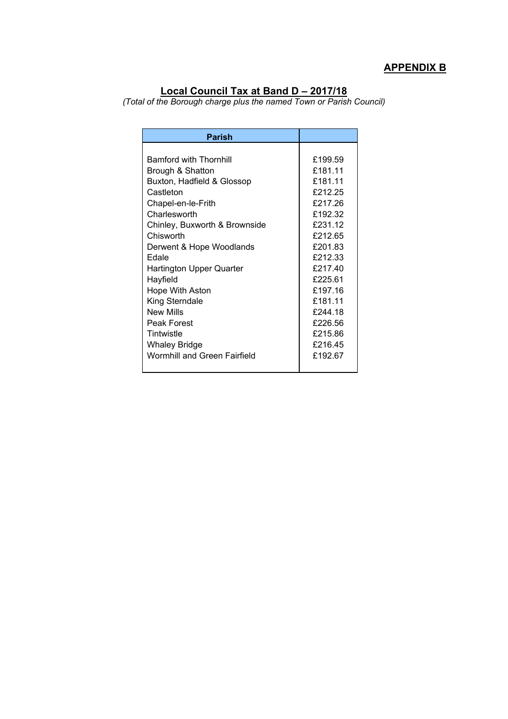# **APPENDIX B**

#### **Local Council Tax at Band D – 2017/18**

*(Total of the Borough charge plus the named Town or Parish Council)*

| <b>Parish</b>                       |         |
|-------------------------------------|---------|
|                                     |         |
| <b>Bamford with Thornhill</b>       | £199.59 |
| Brough & Shatton                    | £181 11 |
| Buxton, Hadfield & Glossop          | £181.11 |
| Castleton                           | £212.25 |
| Chapel-en-le-Frith                  | £217.26 |
| Charlesworth                        | £192.32 |
| Chinley, Buxworth & Brownside       | £231.12 |
| Chisworth                           | £212.65 |
| Derwent & Hope Woodlands            | £201.83 |
| Edale                               | £212.33 |
| Hartington Upper Quarter            | £217.40 |
| Hayfield                            | £225.61 |
| <b>Hope With Aston</b>              | £197.16 |
| King Sterndale                      | £181.11 |
| New Mills                           | £244.18 |
| Peak Forest                         | £226.56 |
| Tintwistle                          | £215.86 |
| Whaley Bridge                       | £216.45 |
| <b>Wormhill and Green Fairfield</b> | £192.67 |
|                                     |         |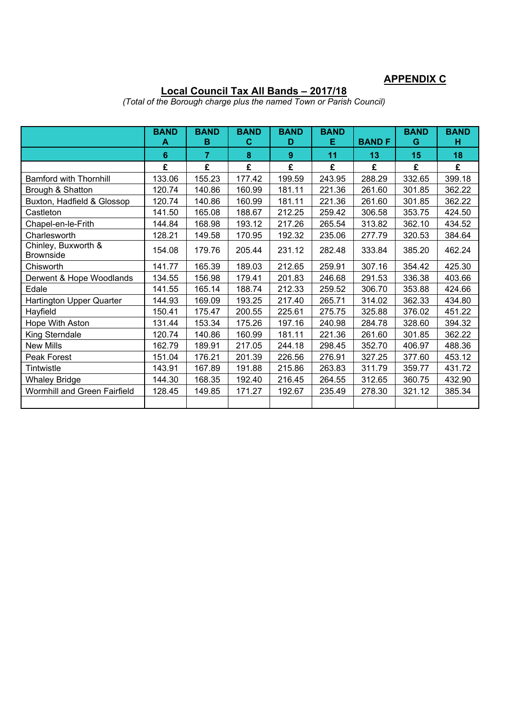#### **APPENDIX C**

#### **Local Council Tax All Bands – 2017/18**

**BAND A BAND B BAND C BAND D BAND E BAND F BAND G BAND H 6 7 8 9 11 13 15 18 £ £ £ £ £ £ £ £** Bamford with Thornhill 133.06 | 155.23 | 177.42 | 199.59 | 243.95 | 288.29 | 332.65 | 399.18 Brough & Shatton 120.74 140.86 160.99 181.11 221.36 261.60 301.85 362.22 Buxton, Hadfield & Glossop 120.74 140.86 160.99 181.11 221.36 261.60 301.85 362.22 Castleton 141.50 165.08 188.67 212.25 259.42 306.58 353.75 424.50 Chapel-en-le-Frith 144.84 168.98 193.12 217.26 265.54 313.82 362.10 434.52 Charlesworth 128.21 149.58 170.95 192.32 235.06 277.79 320.53 384.64 Chinley, Buxworth & Brownside 154.08 | 179.76 | 205.44 | 231.12 | 282.48 | 333.84 | 385.20 | 462.24<br>Brownside Chisworth 141.77 165.39 189.03 212.65 259.91 307.16 354.42 425.30 Derwent & Hope Woodlands 134.55 156.98 179.41 201.83 246.68 291.53 336.38 403.66 Edale | 141.55 | 165.14 | 188.74 | 212.33 | 259.52 | 306.70 | 353.88 | 424.66 Hartington Upper Quarter | 144.93 | 169.09 | 193.25 | 217.40 | 265.71 | 314.02 | 362.33 | 434.80 Hayfield 150.41 175.47 200.55 225.61 275.75 325.88 376.02 451.22 Hope With Aston | 131.44 | 153.34 | 175.26 | 197.16 | 240.98 | 284.78 | 328.60 | 394.32 King Sterndale 120.74 | 140.86 | 160.99 | 181.11 | 221.36 | 261.60 | 301.85 | 362.22 New Mills 162.79 189.91 217.05 244.18 298.45 352.70 406.97 488.36 Peak Forest 151.04 | 151.04 | 176.21 | 201.39 | 226.56 | 276.91 | 327.25 | 377.60 | 453.12 Tintwistle 143.91 167.89 191.88 215.86 263.83 311.79 359.77 431.72 Whaley Bridge 144.30 | 144.30 | 168.35 | 192.40 | 216.45 | 264.55 | 312.65 | 360.75 | 432.90 Wormhill and Green Fairfield | 128.45 | 149.85 | 171.27 | 192.67 | 235.49 | 278.30 | 321.12 | 385.34

*(Total of the Borough charge plus the named Town or Parish Council)*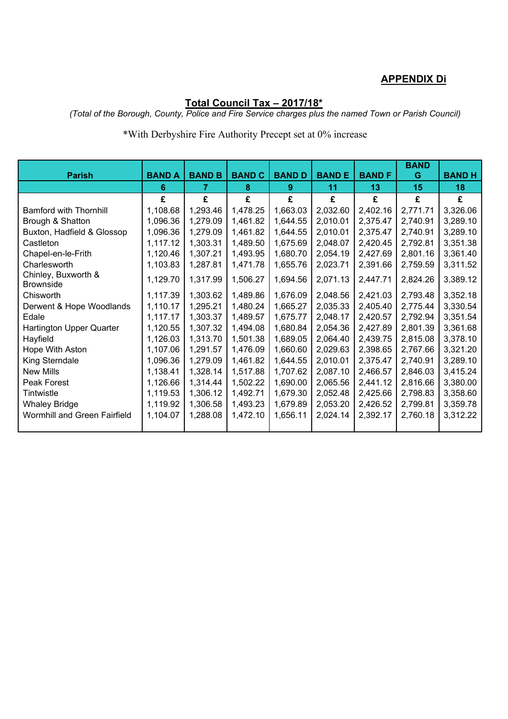## **APPENDIX Di**

## **Total Council Tax – 2017/18\***

*(Total of the Borough, County, Police and Fire Service charges plus the named Town or Parish Council)*

## \*With Derbyshire Fire Authority Precept set at 0% increase

|                                         |               |               |               |               |              |               | <b>BAND</b> |              |
|-----------------------------------------|---------------|---------------|---------------|---------------|--------------|---------------|-------------|--------------|
| <b>Parish</b>                           | <b>BAND A</b> | <b>BAND B</b> | <b>BAND C</b> | <b>BAND D</b> | <b>BANDE</b> | <b>BAND F</b> | G           | <b>BANDH</b> |
|                                         | 6             | 7             | 8             | 9.            | 11           | 13            | 15          | 18           |
|                                         | £             | £             | £             | £             | £            | £             | £           | £            |
| <b>Bamford with Thornhill</b>           | 1,108.68      | 1,293.46      | 1,478.25      | 1,663.03      | 2,032.60     | 2,402.16      | 2,771.71    | 3,326.06     |
| Brough & Shatton                        | 1,096.36      | 1,279.09      | 1,461.82      | 1,644.55      | 2,010.01     | 2,375.47      | 2,740.91    | 3,289.10     |
| Buxton, Hadfield & Glossop              | 1,096.36      | 1,279.09      | 1,461.82      | 1,644.55      | 2,010.01     | 2,375.47      | 2,740.91    | 3,289.10     |
| Castleton                               | 1,117.12      | 1,303.31      | 1,489.50      | 1,675.69      | 2,048.07     | 2,420.45      | 2,792.81    | 3,351.38     |
| Chapel-en-le-Frith                      | 1,120.46      | 1,307.21      | 1,493.95      | 1,680.70      | 2,054.19     | 2,427.69      | 2,801.16    | 3,361.40     |
| Charlesworth                            | 1,103.83      | 1,287.81      | 1,471.78      | 1,655.76      | 2,023.71     | 2,391.66      | 2,759.59    | 3,311.52     |
| Chinley, Buxworth &<br><b>Brownside</b> | 1,129.70      | 1,317.99      | 1,506.27      | 1,694.56      | 2,071.13     | 2,447.71      | 2,824.26    | 3,389.12     |
| Chisworth                               | 1,117.39      | 1,303.62      | 1,489.86      | 1,676.09      | 2,048.56     | 2,421.03      | 2,793.48    | 3,352.18     |
| Derwent & Hope Woodlands                | 1,110.17      | 1,295.21      | 1,480.24      | 1,665.27      | 2,035.33     | 2,405.40      | 2,775.44    | 3,330.54     |
| Edale                                   | 1,117.17      | 1,303.37      | 1,489.57      | 1,675.77      | 2,048.17     | 2,420.57      | 2,792.94    | 3,351.54     |
| Hartington Upper Quarter                | 1,120.55      | 1,307.32      | 1,494.08      | 1,680.84      | 2,054.36     | 2,427.89      | 2,801.39    | 3,361.68     |
| Hayfield                                | 1,126.03      | 1,313.70      | 1,501.38      | 1,689.05      | 2,064.40     | 2,439.75      | 2,815.08    | 3,378.10     |
| Hope With Aston                         | 1,107.06      | 1,291.57      | 1,476.09      | 1,660.60      | 2,029.63     | 2,398.65      | 2,767.66    | 3,321.20     |
| King Sterndale                          | 1,096.36      | 1,279.09      | 1,461.82      | 1,644.55      | 2,010.01     | 2,375.47      | 2,740.91    | 3,289.10     |
| <b>New Mills</b>                        | 1,138.41      | 1,328.14      | 1,517.88      | 1,707.62      | 2,087.10     | 2,466.57      | 2,846.03    | 3,415.24     |
| Peak Forest                             | 1,126.66      | 1,314.44      | 1,502.22      | 1,690.00      | 2,065.56     | 2,441.12      | 2,816.66    | 3,380.00     |
| Tintwistle                              | 1,119.53      | 1,306.12      | 1,492.71      | 1,679.30      | 2,052.48     | 2,425.66      | 2,798.83    | 3,358.60     |
| <b>Whaley Bridge</b>                    | 1,119.92      | 1,306.58      | 1,493.23      | 1,679.89      | 2,053.20     | 2,426.52      | 2,799.81    | 3,359.78     |
| Wormhill and Green Fairfield            | 1,104.07      | 1,288.08      | 1,472.10      | 1,656.11      | 2,024.14     | 2,392.17      | 2,760.18    | 3,312.22     |